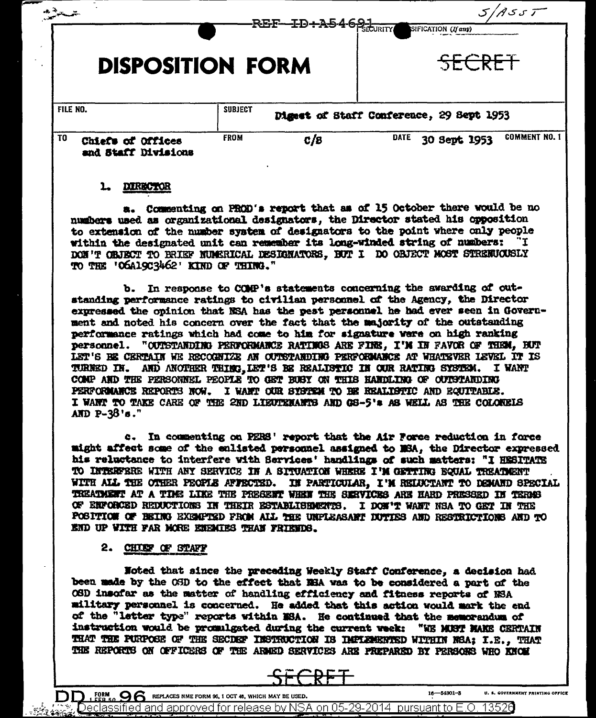| --                      |                                          | REF-ID+A5468-<br>SIFICATION (If any) |     |                                          |              |  |                      |
|-------------------------|------------------------------------------|--------------------------------------|-----|------------------------------------------|--------------|--|----------------------|
| <b>DISPOSITION FORM</b> |                                          |                                      |     | SECRET                                   |              |  |                      |
| FILE NO.                |                                          | <b>SUBJECT</b>                       |     | Digest of Staff Conference, 29 Sept 1953 |              |  |                      |
| T <sub>0</sub>          | Chiefs of Offices<br>and Staff Divisions | <b>FROM</b>                          | c/s | <b>DATE</b>                              | 30 Sept 1953 |  | <b>COMMENT NO. 1</b> |
|                         | <b>FIRE SACT</b>                         |                                      |     |                                          |              |  |                      |

a. Commenting on PROD's report that as of 15 October there would be no numbers used as organizational designators, the Director stated his opposition to extension of the number system of designators to the point where only people within the designated unit can remember its long-winded string of numbers: DON'T OBJECT TO BRIEF NUMERICAL DESIGNATORS. BUT I DO OBJECT MOST STRENUOUSLY TO THE 'OGAl9C3462' KIND OF THING."

b. In response to COMP's statements concerning the awarding of outstanding performance ratings to civilian personnel of the Agency, the Director expressed the opinion that NSA has the pest personnel he had ever seen in Government and noted his concern over the fact that the majority of the outstanding performance ratings which had come to him for signature were on high ranking personnel. "OUTSTANDING PERFORMANCE RATINGS ARE FINE, I'M IN FAVOR OF THEM, BUT LET'S BE CERTAIN WE RECOGNIZE AN OUTSTANDING PERFORMANCE AT WHATEVER LEVEL IT IS TURNED IN. AND ANOTHER THING, LET'S BE REALISTIC IN OUR RATING SYSTEM. I WANT COMP AND THE PERSONNEL PEOPLE TO GET BUBY ON THIS HANDLING OF OUTSTANDING PERFORMANCE REPORTS NOW. I WANT OUR SYSTEM TO BE REALISTIC AND EQUITABLE. I WANT TO TAKE CARE OF THE 2ND LIEUTEMANTS AND GS-5'\* AS WELL AS THE COLONELS AND  $P-38'$  s."

c. In commenting on PERS' report that the Air Force reduction in force might affect some of the enlisted personnel assigned to NSA, the Director expressed his reluctance to interfere with Services' handlings of such matters: "I HESITATE TO INTERFERE WITH ANY SERVICE IN A SITUATION WHERE I'M GETTING EQUAL TREATMENT WITH ALL THE OTHER PEOPLE AFFECTED. IN PARTICULAR, I'M RELUCTANT TO DEMAND SPECIAL TREATMENT AT A TIME LIKE THE PRESENT WHEN THE SERVICES ARE HARD PRESEED IN TERMS OF ENFORCED REDUCTIONS IN THEIR ESTABLISHMENTS. I DON'T WANT NSA TO GET IN THE POSITION OF BEING EXEMPTED FROM ALL THE UNPLEASANT DUTIES AND RESTRICTIONS AND TO END UP WITH FAR MORE ENEMIES THAN FRIENDS.

2. CHIEF OF STAFF

FORM **OG REPLACES NME FORM 96, 1 OCT 48, WHICH MAY BE USED.** 

Noted that since the preceding Weekly Staff Conference, a decision had been made by the OSD to the effect that NBA was to be considered a part of the OSD insofar as the matter of handling efficiency and fitness reports of NSA military personnel is concerned. He added that this action would mark the end of the "letter type" reports within MSA. He continued that the memorandum of instruction would be promulgated during the current week: "WE MUST MAKE CERTAIN THAT THE PURPOSE OF THE SECDEF INSTRUCTION IS IMPLEMENTED WITHIN NSA; I.E., THAT THE REPORTS ON OFFICERS OF THE ARMED SERVICES ARE PREPARED BY PERSONS WHO KNOW



 $5/45.5$ 

Declassified and approved for release by NSA on 05-29-2014 pursuant to E.O. 13526